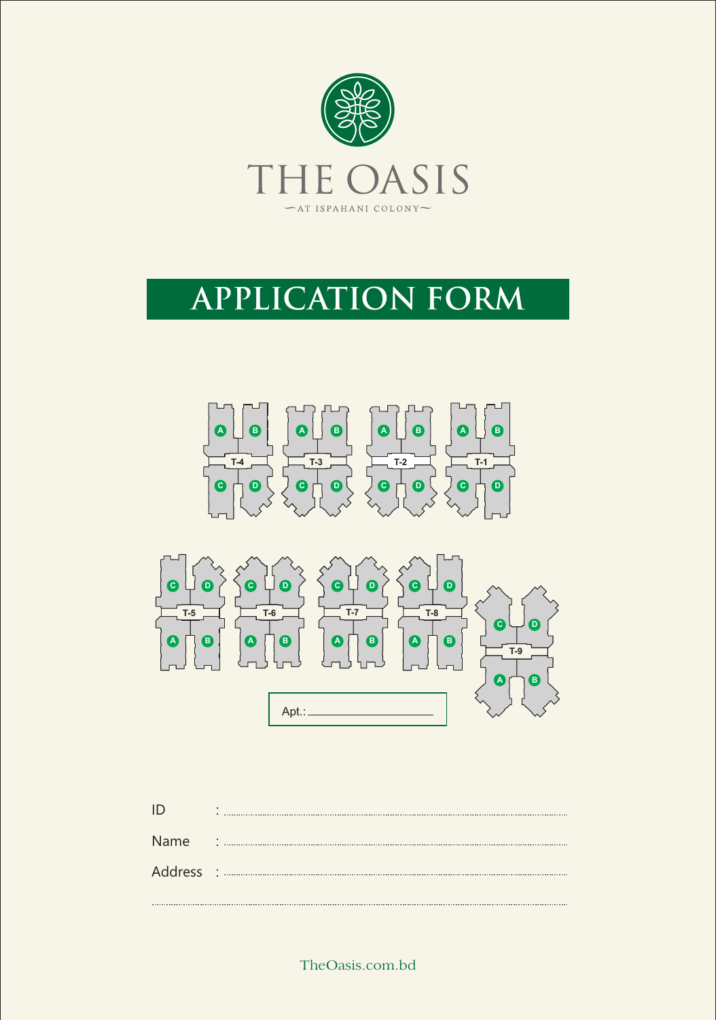

# **APPLICATION FORM**





|      | ٠<br>$\bullet$ |
|------|----------------|
| Name | $\sim$ 1       |
|      |                |

TheOasis.com.bd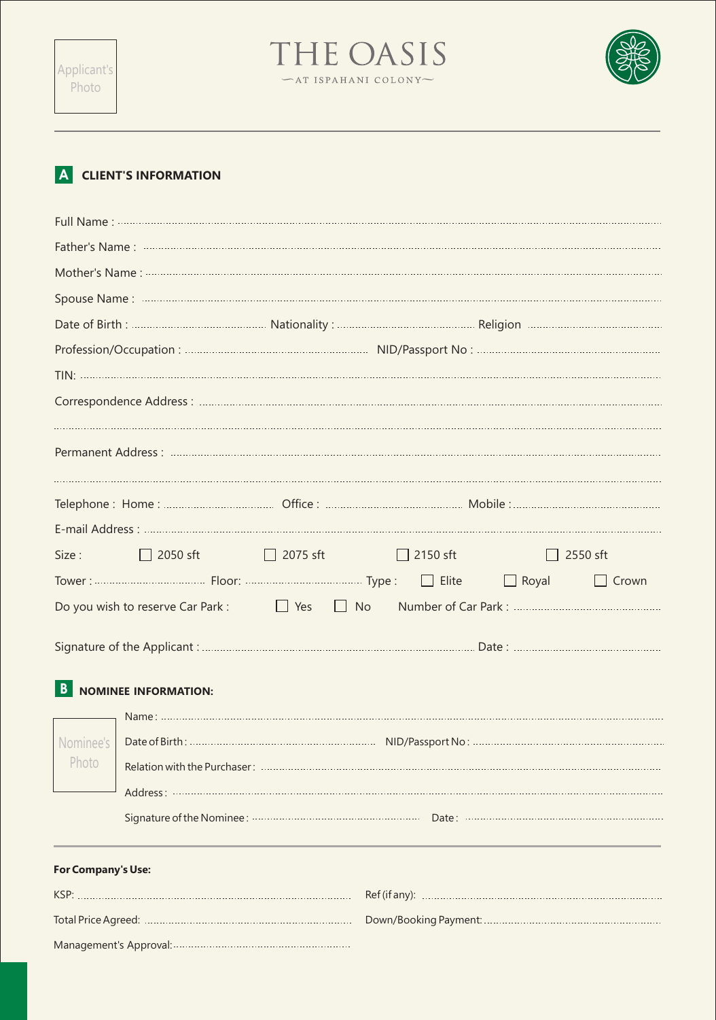



## **A CLIENT'S INFORMATION**

Management's Approval:

| Size:              | $\Box$ 2050 sft $\Box$ 2075 sft |  |  | $\Box$ 2150 sft |  | $\Box$ 2550 sft |
|--------------------|---------------------------------|--|--|-----------------|--|-----------------|
|                    |                                 |  |  |                 |  | $\Box$ Crown    |
|                    |                                 |  |  |                 |  |                 |
|                    |                                 |  |  |                 |  |                 |
| $\vert$ B          | <b>NOMINEE INFORMATION:</b>     |  |  |                 |  |                 |
|                    |                                 |  |  |                 |  |                 |
| Nominee's          |                                 |  |  |                 |  |                 |
| Photo              |                                 |  |  |                 |  |                 |
|                    |                                 |  |  |                 |  |                 |
|                    |                                 |  |  |                 |  |                 |
| For Company's Use: |                                 |  |  |                 |  |                 |
|                    |                                 |  |  |                 |  |                 |
|                    |                                 |  |  |                 |  |                 |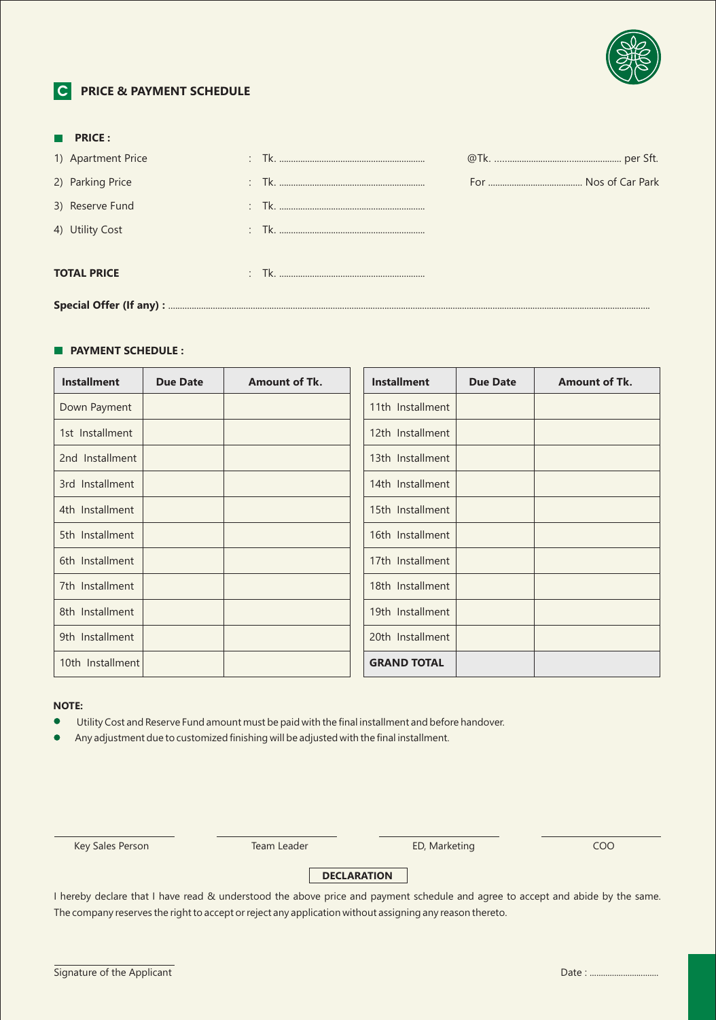

## **C PRICE & PAYMENT SCHEDULE**

|  | $\blacksquare$ PRICE : |  |  |  |  |  |
|--|------------------------|--|--|--|--|--|
|  | 1) Apartment Price     |  |  |  |  |  |
|  | 2) Parking Price       |  |  |  |  |  |
|  | 3) Reserve Fund        |  |  |  |  |  |
|  | 4) Utility Cost        |  |  |  |  |  |
|  | <b>TOTAL PRICE</b>     |  |  |  |  |  |
|  |                        |  |  |  |  |  |

#### **PAYMENT SCHEDULE :**

| <b>Installment</b> | <b>Due Date</b> | <b>Amount of Tk.</b> | <b>Installment</b> | <b>Due Date</b> | <b>Amount of Tk.</b> |
|--------------------|-----------------|----------------------|--------------------|-----------------|----------------------|
| Down Payment       |                 |                      | 11th Installment   |                 |                      |
| 1st Installment    |                 |                      | 12th Installment   |                 |                      |
| 2nd Installment    |                 |                      | 13th Installment   |                 |                      |
| 3rd Installment    |                 |                      | 14th Installment   |                 |                      |
| 4th Installment    |                 |                      | 15th Installment   |                 |                      |
| 5th Installment    |                 |                      | 16th Installment   |                 |                      |
| 6th Installment    |                 |                      | 17th Installment   |                 |                      |
| 7th Installment    |                 |                      | 18th Installment   |                 |                      |
| 8th Installment    |                 |                      | 19th Installment   |                 |                      |
| 9th Installment    |                 |                      | 20th Installment   |                 |                      |
| 10th Installment   |                 |                      | <b>GRAND TOTAL</b> |                 |                      |

### **NOTE:**

Utility Cost and Reserve Fund amount must be paid with the final installment and before handover.

Any adjustment due to customized finishing will be adjusted with the final installment.

Key Sales Person **Team Leader** ED, Marketing **COO** 

## **DECLARATION**

I hereby declare that I have read & understood the above price and payment schedule and agree to accept and abide by the same. The company reserves the right to accept or reject any application without assigning any reason thereto.